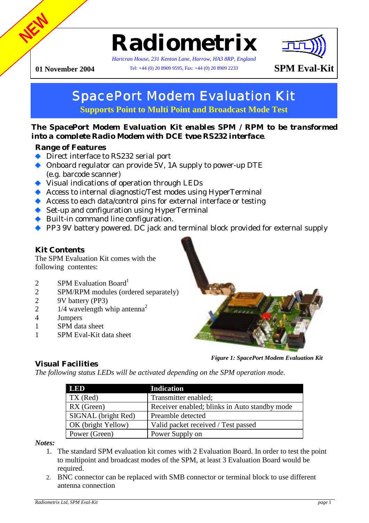# **Radiometrix**

*Hartcran House, 231 Kenton Lane, Harrow, HA3 8RP, England*

**01 November 2004** Tel: +44 (0) 20 8909 9595, Fax: +44 (0) 20 8909 2233 **SPM Eval-Kit** 



# SpacePort Modem Evaluation Kit

**Supports Point to Multi Point and Broadcast Mode Test** 

## *The SpacePort Modem Evaluation Kit enables SPM / RPM to be transformed into a complete Radio Modem with DCE type RS232 interface.*

# **Range of Features**

**NEW**

- ◆ Direct interface to RS232 serial port
- Onboard regulator can provide 5V, 1A supply to power-up DTE (e.g. barcode scanner)
- Visual indications of operation through LEDs
- Access to internal diagnostic/Test modes using HyperTerminal
- Access to each data/control pins for external interface or testing
- ◆ Set-up and configuration using HyperTerminal
- ◆ Built-in command line configuration.
- PP3 9V battery powered. DC jack and terminal block provided for external supply

# **Kit Contents**

The SPM Evaluation Kit comes with the following contentes:

- 2 SPM Evaluation Board<sup>1</sup>
- 2 SPM/RPM modules (ordered separately)
- 2 9V battery (PP3)
- 2 1/4 wavelength whip antenna<sup>2</sup>
- 4 Jumpers
- 1 SPM data sheet
- 1 SPM Eval-Kit data sheet



*Figure 1: SpacePort Modem Evaluation Kit*

# **Visual Facilities**

*The following status LEDs will be activated depending on the SPM operation mode.* 

| <b>LED</b>          | <b>Indication</b>                             |
|---------------------|-----------------------------------------------|
| TX (Red)            | Transmitter enabled;                          |
| RX(Green)           | Receiver enabled; blinks in Auto standby mode |
| SIGNAL (bright Red) | Preamble detected                             |
| OK (bright Yellow)  | Valid packet received / Test passed           |
| Power (Green)       | Power Supply on                               |

*Notes:* 

- 1. The standard SPM evaluation kit comes with 2 Evaluation Board. In order to test the point to multipoint and broadcast modes of the SPM, at least 3 Evaluation Board would be required.
- 2. BNC connector can be replaced with SMB connector or terminal block to use different antenna connection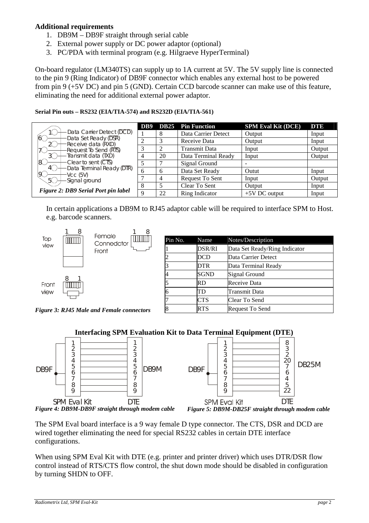## **Additional requirements**

- 1. DB9M DB9F straight through serial cable
- 2. External power supply or DC power adaptor (optional)
- 3. PC/PDA with terminal program (e.g. Hilgraeve HyperTerminal)

On-board regulator (LM340TS) can supply up to 1A current at 5V. The 5V supply line is connected to the pin 9 (Ring Indicator) of DB9F connector which enables any external host to be powered from pin 9 (+5V DC) and pin 5 (GND). Certain CCD barcode scanner can make use of this feature, eliminating the need for additional external power adaptor.

#### **Serial Pin outs – RS232 (EIA/TIA-574) and RS232D (EIA/TIA-561)**

|                                                  | D <sub>B</sub> 9 | <b>DB25</b> | <b>Pin Function</b>  | <b>SPM Eval Kit (DCE)</b> | DTE    |
|--------------------------------------------------|------------------|-------------|----------------------|---------------------------|--------|
| Data Carrier Detect (DCD)                        |                  | 8           | Data Carrier Detect  | Output                    | Input  |
| Data Set Ready (DSR)<br>6(<br>Receive data (RXD) |                  |             | Receive Data         | Output                    | Input  |
| Request To Send (RTS)<br>70                      |                  |             | <b>Transmit Data</b> | Input                     | Output |
| Transmit data (TXD)                              |                  | 20          | Data Terminal Ready  | Input                     | Output |
| 18<br>Clear to sent (CTS)                        |                  |             | Signal Ground        |                           |        |
| Data Terminal Ready (DTR)<br>$\overline{Q}$      | h                |             | Data Set Ready       | Outut                     | Input  |
| $Vcc$ (5V)<br>Signal ground<br>5                 |                  |             | Request To Sent      | Input                     | Output |
|                                                  |                  |             | Clear To Sent        | Output                    | Input  |
| Figure 2: DB9 Serial Port pin label              |                  | 22          | Ring Indicator       | $+5V$ DC output           | Input  |

In certain applications a DB9M to RJ45 adaptor cable will be required to interface SPM to Host. e.g. barcode scanners.



*Figure 3: RJ45 Male and Female connectors* 

| Pin No.        | Name        | Notes/Description             |
|----------------|-------------|-------------------------------|
|                | DSR/RI      | Data Set Ready/Ring Indicator |
| 2              | DCD         | Data Carrier Detect           |
| 3              | <b>DTR</b>  | Data Terminal Ready           |
| $\overline{4}$ | <b>SGND</b> | Signal Ground                 |
| 5              | RD          | Receive Data                  |
| 6              | TD          | Transmit Data                 |
| 7              | CTS         | Clear To Send                 |
| 8              | <b>RTS</b>  | Request To Send               |

## **Interfacing SPM Evaluation Kit to Data Terminal Equipment (DTE)**



The SPM Eval board interface is a 9 way female D type connector. The CTS, DSR and DCD are wired together eliminating the need for special RS232 cables in certain DTE interface configurations.

When using SPM Eval Kit with DTE (e.g. printer and printer driver) which uses DTR/DSR flow control instead of RTS/CTS flow control, the shut down mode should be disabled in configuration by turning SHDN to OFF.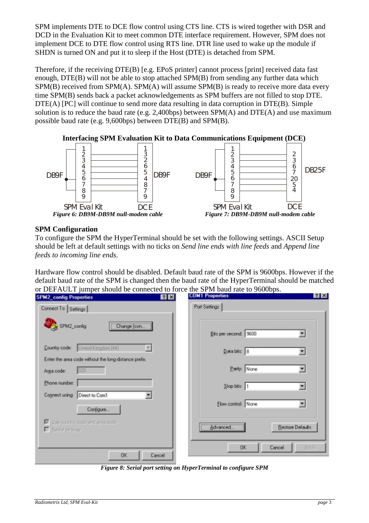SPM implements DTE to DCE flow control using CTS line. CTS is wired together with DSR and DCD in the Evaluation Kit to meet common DTE interface requirement. However, SPM does not implement DCE to DTE flow control using RTS line. DTR line used to wake up the module if SHDN is turned ON and put it to sleep if the Host (DTE) is detached from SPM.

Therefore, if the receiving DTE(B) [e.g. EPoS printer] cannot process [print] received data fast enough, DTE(B) will not be able to stop attached SPM(B) from sending any further data which SPM(B) received from SPM(A). SPM(A) will assume SPM(B) is ready to receive more data every time SPM(B) sends back a packet acknowledgements as SPM buffers are not filled to stop DTE. DTE(A) [PC] will continue to send more data resulting in data corruption in DTE(B). Simple solution is to reduce the baud rate (e.g. 2.400bps) between  $SPM(A)$  and  $DTE(A)$  and use maximum possible baud rate (e.g. 9,600bps) between DTE(B) and SPM(B).



## **SPM Configuration**

To configure the SPM the HyperTerminal should be set with the following settings. ASCII Setup should be left at default settings with no ticks on *Send line ends with line feeds* and *Append line feeds to incoming line ends*.

Hardware flow control should be disabled. Default baud rate of the SPM is 9600bps. However if the default baud rate of the SPM is changed then the baud rate of the HyperTerminal should be matched or DEFAULT jumper should be connected to force the SPM baud rate to 9600bps.

| <b>SPM2_config Properties</b>                                                              | <b>COM1 Properties</b><br>7x | T X                     |
|--------------------------------------------------------------------------------------------|------------------------------|-------------------------|
| Connect To Settings                                                                        | Port Settings                |                         |
| SPM2_config<br>Change (con                                                                 | Bits per second: 9600        |                         |
| Country code: United Kingdom (44)<br>Enter the area code without the long-distance prefix. | Data bits: 8                 |                         |
| 020<br>Area code:                                                                          | Parity: None                 |                         |
| Phone number:                                                                              | Stop bits: 1                 |                         |
| Connect using Direct to Com1<br>Configure                                                  | Elow control: None           |                         |
| E Lise country code and area code<br>F Redal on busy                                       | Advanced                     | <b>Restore Defaults</b> |
| 0K<br>Cancel                                                                               | <b>DK</b><br>Cancel          | <b>Apply</b>            |

*Figure 8: Serial port setting on HyperTerminal to configure SPM*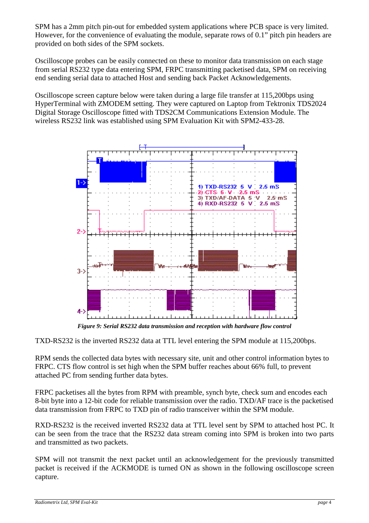SPM has a 2mm pitch pin-out for embedded system applications where PCB space is very limited. However, for the convenience of evaluating the module, separate rows of 0.1" pitch pin headers are provided on both sides of the SPM sockets.

Oscilloscope probes can be easily connected on these to monitor data transmission on each stage from serial RS232 type data entering SPM, FRPC transmitting packetised data, SPM on receiving end sending serial data to attached Host and sending back Packet Acknowledgements.

Oscilloscope screen capture below were taken during a large file transfer at 115,200bps using HyperTerminal with ZMODEM setting. They were captured on Laptop from Tektronix TDS2024 Digital Storage Oscilloscope fitted with TDS2CM Communications Extension Module. The wireless RS232 link was established using SPM Evaluation Kit with SPM2-433-28.



*Figure 9: Serial RS232 data transmission and reception with hardware flow control* 

TXD-RS232 is the inverted RS232 data at TTL level entering the SPM module at 115,200bps.

RPM sends the collected data bytes with necessary site, unit and other control information bytes to FRPC. CTS flow control is set high when the SPM buffer reaches about 66% full, to prevent attached PC from sending further data bytes.

FRPC packetises all the bytes from RPM with preamble, synch byte, check sum and encodes each 8-bit byte into a 12-bit code for reliable transmission over the radio. TXD/AF trace is the packetised data transmission from FRPC to TXD pin of radio transceiver within the SPM module.

RXD-RS232 is the received inverted RS232 data at TTL level sent by SPM to attached host PC. It can be seen from the trace that the RS232 data stream coming into SPM is broken into two parts and transmitted as two packets.

SPM will not transmit the next packet until an acknowledgement for the previously transmitted packet is received if the ACKMODE is turned ON as shown in the following oscilloscope screen capture.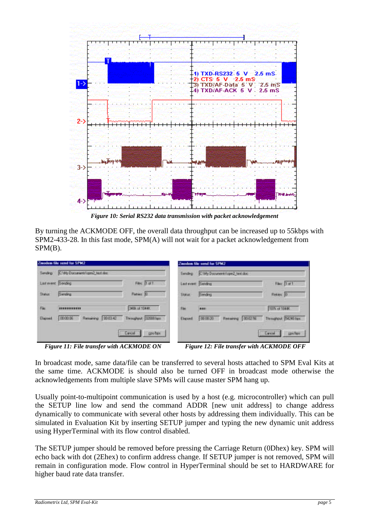

*Figure 10: Serial RS232 data transmission with packet acknowledgement* 

By turning the ACKMODE OFF, the overall data throughput can be increased up to 55kbps with SPM2-433-28. In this fast mode, SPM(A) will not wait for a packet acknowledgement from SPM(B).

| Zaoden file send for SPM2             |                         |                |                           |                                                                                  |  |
|---------------------------------------|-------------------------|----------------|---------------------------|----------------------------------------------------------------------------------|--|
| Sending C.We Documents lam2, lest doc |                         | <b>Sending</b> |                           |                                                                                  |  |
| Last event: Tending                   | Files Toll              |                |                           | <b>First 1 of 1</b>                                                              |  |
| Serving                               | Flatime 31              | <b>Slave</b>   | <b>Seiding</b>            | Fiekey, D                                                                        |  |
|                                       | 34Bit of 1044K          | <b>The</b>     |                           | TEM: of 1944K                                                                    |  |
| Reserve 100342<br>000006              | Throughand: 32000 hps:  | Elegand        | 000020<br>Renaining 0002% | Trengtout: ISI240 bpc.                                                           |  |
|                                       | <b>Cancel</b><br>puber. |                |                           | <b>Cancer</b><br>pps/hpr.                                                        |  |
|                                       |                         |                |                           | Zweden file send for SPM2<br>C My Documents/spin2 tant doc<br>Last need: Sending |  |

*Figure 11: File transfer with ACKMODE ON* Figure 12: File transfer with ACKMODE OFF

In broadcast mode, same data/file can be transferred to several hosts attached to SPM Eval Kits at the same time. ACKMODE is should also be turned OFF in broadcast mode otherwise the acknowledgements from multiple slave SPMs will cause master SPM hang up.

Usually point-to-multipoint communication is used by a host (e.g. microcontroller) which can pull the SETUP line low and send the command ADDR [new unit address] to change address dynamically to communicate with several other hosts by addressing them individually. This can be simulated in Evaluation Kit by inserting SETUP jumper and typing the new dynamic unit address using HyperTerminal with its flow control disabled.

The SETUP jumper should be removed before pressing the Carriage Return (0Dhex) key. SPM will echo back with dot (2Ehex) to confirm address change. If SETUP jumper is not removed, SPM will remain in configuration mode. Flow control in HyperTerminal should be set to HARDWARE for higher baud rate data transfer.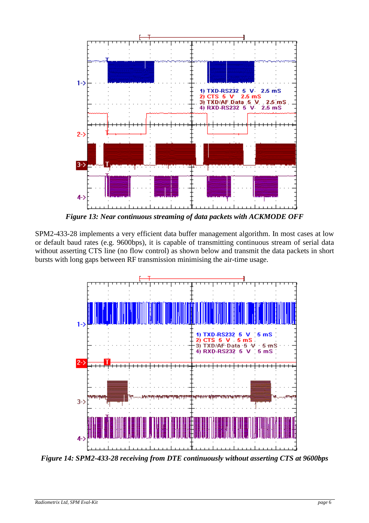

*Figure 13: Near continuous streaming of data packets with ACKMODE OFF* 

SPM2-433-28 implements a very efficient data buffer management algorithm. In most cases at low or default baud rates (e.g. 9600bps), it is capable of transmitting continuous stream of serial data without asserting CTS line (no flow control) as shown below and transmit the data packets in short bursts with long gaps between RF transmission minimising the air-time usage.



*Figure 14: SPM2-433-28 receiving from DTE continuously without asserting CTS at 9600bps*